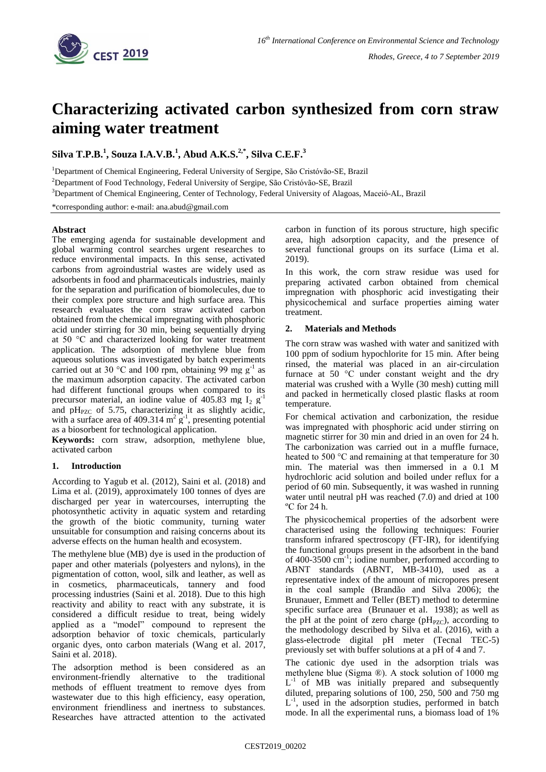

# **Characterizing activated carbon synthesized from corn straw aiming water treatment**

**Silva T.P.B. 1 , Souza I.A.V.B. 1 , Abud A.K.S. 2,\* , Silva C.E.F. 3**

<sup>1</sup>Department of Chemical Engineering, Federal University of Sergipe, São Cristóvão-SE, Brazil

<sup>2</sup>Department of Food Technology, Federal University of Sergipe, São Cristóvão-SE, Brazil

<sup>3</sup>Department of Chemical Engineering, Center of Technology, Federal University of Alagoas, Maceió-AL, Brazil

\*corresponding author: e-mail: ana.abud@gmail.com

## **Abstract**

The emerging agenda for sustainable development and global warming control searches urgent researches to reduce environmental impacts. In this sense, activated carbons from agroindustrial wastes are widely used as adsorbents in food and pharmaceuticals industries, mainly for the separation and purification of biomolecules, due to their complex pore structure and high surface area. This research evaluates the corn straw activated carbon obtained from the chemical impregnating with phosphoric acid under stirring for 30 min, being sequentially drying at 50 °C and characterized looking for water treatment application. The adsorption of methylene blue from aqueous solutions was investigated by batch experiments carried out at 30 °C and 100 rpm, obtaining 99 mg  $g^{-1}$  as the maximum adsorption capacity. The activated carbon had different functional groups when compared to its precursor material, an iodine value of 405.83 mg  $I_2$  g<sup>-1</sup> and  $pH<sub>PZC</sub>$  of 5.75, characterizing it as slightly acidic, with a surface area of 409.314  $m^2 g^{-1}$ , presenting potential as a biosorbent for technological application.

**Keywords:** corn straw, adsorption, methylene blue, activated carbon

## **1. Introduction**

According to Yagub et al. (2012), Saini et al. (2018) and Lima et al. (2019), approximately 100 tonnes of dyes are discharged per year in watercourses, interrupting the photosynthetic activity in aquatic system and retarding the growth of the biotic community, turning water unsuitable for consumption and raising concerns about its adverse effects on the human health and ecosystem.

The methylene blue (MB) dye is used in the production of paper and other materials (polyesters and nylons), in the pigmentation of cotton, wool, silk and leather, as well as in cosmetics, pharmaceuticals, tannery and food processing industries (Saini et al. 2018). Due to this high reactivity and ability to react with any substrate, it is considered a difficult residue to treat, being widely applied as a "model" compound to represent the adsorption behavior of toxic chemicals, particularly organic dyes, onto carbon materials (Wang et al. 2017, Saini et al. 2018).

The adsorption method is been considered as an environment-friendly alternative to the traditional methods of effluent treatment to remove dyes from wastewater due to this high efficiency, easy operation, environment friendliness and inertness to substances. Researches have attracted attention to the activated carbon in function of its porous structure, high specific area, high adsorption capacity, and the presence of several functional groups on its surface (Lima et al. 2019).

In this work, the corn straw residue was used for preparing activated carbon obtained from chemical impregnation with phosphoric acid investigating their physicochemical and surface properties aiming water treatment.

## **2. Materials and Methods**

The corn straw was washed with water and sanitized with 100 ppm of sodium hypochlorite for 15 min. After being rinsed, the material was placed in an air-circulation furnace at 50 °C under constant weight and the dry material was crushed with a Wylle (30 mesh) cutting mill and packed in hermetically closed plastic flasks at room temperature.

For chemical activation and carbonization, the residue was impregnated with phosphoric acid under stirring on magnetic stirrer for 30 min and dried in an oven for 24 h. The carbonization was carried out in a muffle furnace, heated to 500 °C and remaining at that temperature for 30 min. The material was then immersed in a 0.1 M hydrochloric acid solution and boiled under reflux for a period of 60 min. Subsequently, it was washed in running water until neutral pH was reached (7.0) and dried at 100 ºC for 24 h.

The physicochemical properties of the adsorbent were characterised using the following techniques: Fourier transform infrared spectroscopy (FT-IR), for identifying the functional groups present in the adsorbent in the band of 400-3500 cm<sup>-1</sup>; iodine number, performed according to ABNT standards (ABNT, MB-3410), used as a representative index of the amount of micropores present in the coal sample (Brandão and Silva 2006); the Brunauer, Emmett and Teller (BET) method to determine specific surface area (Brunauer et al. 1938); as well as the pH at the point of zero charge ( $pH_{PZC}$ ), according to the methodology described by Silva et al*.* (2016), with a glass-electrode digital pH meter (Tecnal TEC-5) previously set with buffer solutions at a pH of 4 and 7.

The cationic dye used in the adsorption trials was methylene blue (Sigma ®). A stock solution of 1000 mg  $L^{-1}$  of MB was initially prepared and subsequently diluted, preparing solutions of 100, 250, 500 and 750 mg  $L^{-1}$ , used in the adsorption studies, performed in batch mode. In all the experimental runs, a biomass load of 1%